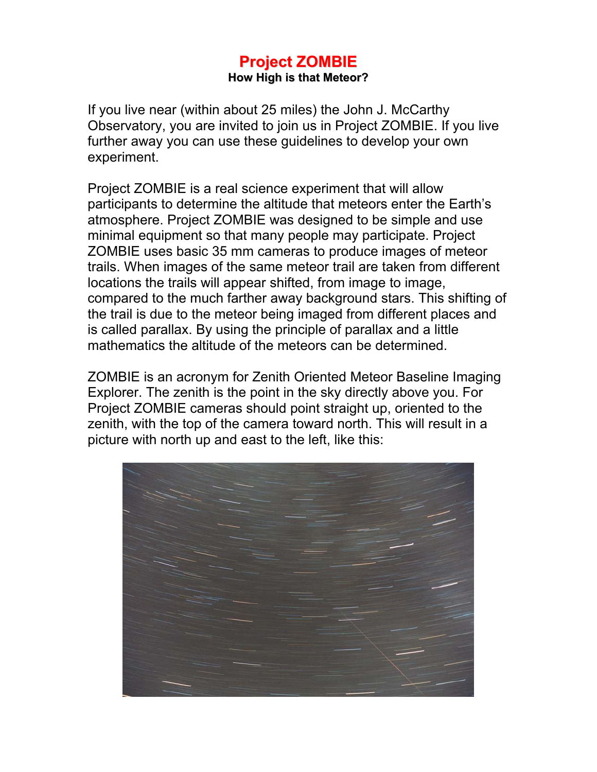#### **Project ZOMBIE How High is that Meteor?**

If you live near (within about 25 miles) the John J. McCarthy Observatory, you are invited to join us in Project ZOMBIE. If you live further away you can use these guidelines to develop your own experiment.

Project ZOMBIE is a real science experiment that will allow participants to determine the altitude that meteors enter the Earth's atmosphere. Project ZOMBIE was designed to be simple and use minimal equipment so that many people may participate. Project ZOMBIE uses basic 35 mm cameras to produce images of meteor trails. When images of the same meteor trail are taken from different locations the trails will appear shifted, from image to image, compared to the much farther away background stars. This shifting of the trail is due to the meteor being imaged from different places and is called parallax. By using the principle of parallax and a little mathematics the altitude of the meteors can be determined.

ZOMBIE is an acronym for Zenith Oriented Meteor Baseline Imaging Explorer. The zenith is the point in the sky directly above you. For Project ZOMBIE cameras should point straight up, oriented to the zenith, with the top of the camera toward north. This will result in a picture with north up and east to the left, like this:

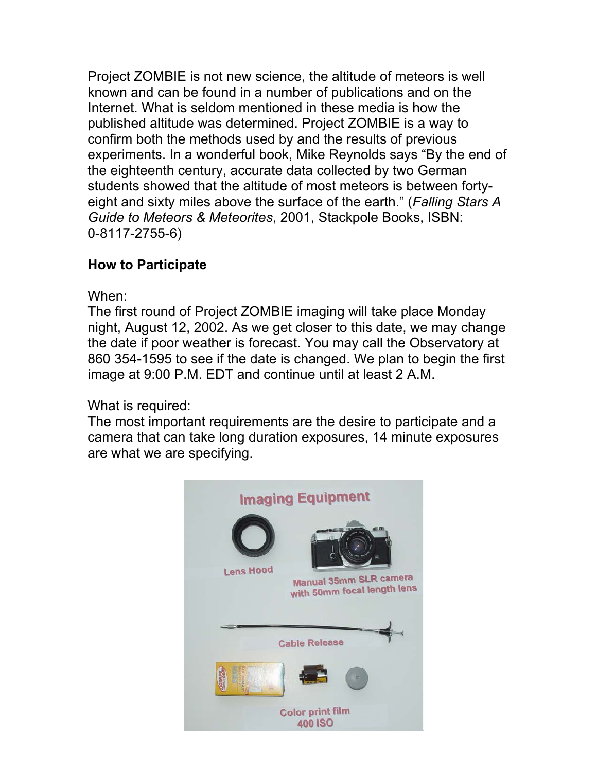Project ZOMBIE is not new science, the altitude of meteors is well known and can be found in a number of publications and on the Internet. What is seldom mentioned in these media is how the published altitude was determined. Project ZOMBIE is a way to confirm both the methods used by and the results of previous experiments. In a wonderful book, Mike Reynolds says "By the end of the eighteenth century, accurate data collected by two German students showed that the altitude of most meteors is between fortyeight and sixty miles above the surface of the earth." (*Falling Stars A Guide to Meteors & Meteorites*, 2001, Stackpole Books, ISBN: 0-8117-2755-6)

### **How to Participate**

When:

The first round of Project ZOMBIE imaging will take place Monday night, August 12, 2002. As we get closer to this date, we may change the date if poor weather is forecast. You may call the Observatory at 860 354-1595 to see if the date is changed. We plan to begin the first image at 9:00 P.M. EDT and continue until at least 2 A.M.

What is required:

The most important requirements are the desire to participate and a camera that can take long duration exposures, 14 minute exposures are what we are specifying.

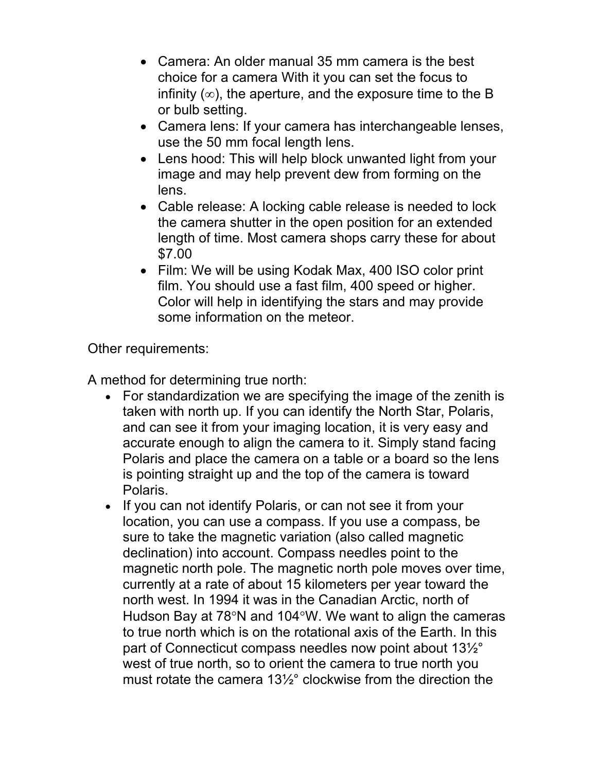- Camera: An older manual 35 mm camera is the best choice for a camera With it you can set the focus to infinity  $(\infty)$ , the aperture, and the exposure time to the B or bulb setting.
- Camera lens: If your camera has interchangeable lenses, use the 50 mm focal length lens.
- Lens hood: This will help block unwanted light from your image and may help prevent dew from forming on the lens.
- Cable release: A locking cable release is needed to lock the camera shutter in the open position for an extended length of time. Most camera shops carry these for about \$7.00
- Film: We will be using Kodak Max, 400 ISO color print film. You should use a fast film, 400 speed or higher. Color will help in identifying the stars and may provide some information on the meteor.

Other requirements:

A method for determining true north:

- For standardization we are specifying the image of the zenith is taken with north up. If you can identify the North Star, Polaris, and can see it from your imaging location, it is very easy and accurate enough to align the camera to it. Simply stand facing Polaris and place the camera on a table or a board so the lens is pointing straight up and the top of the camera is toward Polaris.
- If you can not identify Polaris, or can not see it from your location, you can use a compass. If you use a compass, be sure to take the magnetic variation (also called magnetic declination) into account. Compass needles point to the magnetic north pole. The magnetic north pole moves over time, currently at a rate of about 15 kilometers per year toward the north west. In 1994 it was in the Canadian Arctic, north of Hudson Bay at 78°N and 104°W. We want to align the cameras to true north which is on the rotational axis of the Earth. In this part of Connecticut compass needles now point about 13½° west of true north, so to orient the camera to true north you must rotate the camera 13½° clockwise from the direction the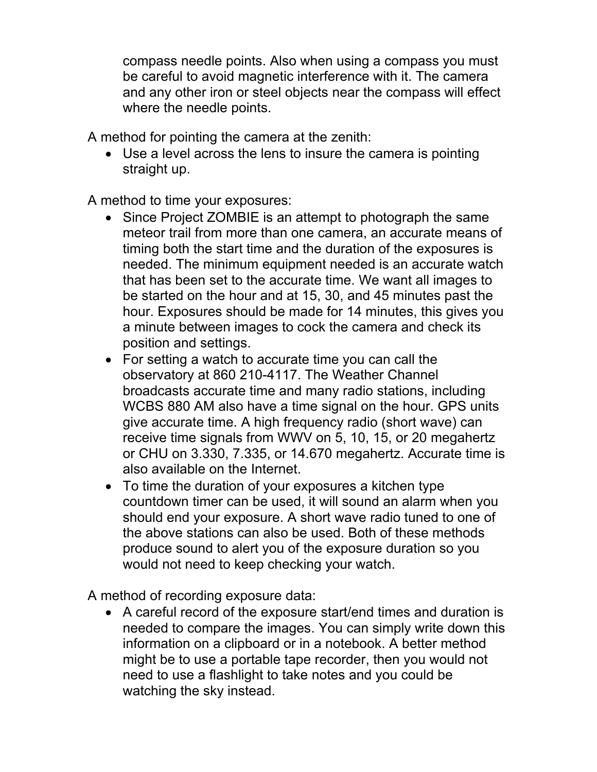compass needle points. Also when using a compass you must be careful to avoid magnetic interference with it. The camera and any other iron or steel objects near the compass will effect where the needle points.

A method for pointing the camera at the zenith:

• Use a level across the lens to insure the camera is pointing straight up.

A method to time your exposures:

- Since Project ZOMBIE is an attempt to photograph the same meteor trail from more than one camera, an accurate means of timing both the start time and the duration of the exposures is needed. The minimum equipment needed is an accurate watch that has been set to the accurate time. We want all images to be started on the hour and at 15, 30, and 45 minutes past the hour. Exposures should be made for 14 minutes, this gives you a minute between images to cock the camera and check its position and settings.
- For setting a watch to accurate time you can call the observatory at 860 210-4117. The Weather Channel broadcasts accurate time and many radio stations, including WCBS 880 AM also have a time signal on the hour. GPS units give accurate time. A high frequency radio (short wave) can receive time signals from WWV on 5, 10, 15, or 20 megahertz or CHU on 3.330, 7.335, or 14.670 megahertz. Accurate time is also available on the Internet.
- To time the duration of your exposures a kitchen type countdown timer can be used, it will sound an alarm when you should end your exposure. A short wave radio tuned to one of the above stations can also be used. Both of these methods produce sound to alert you of the exposure duration so you would not need to keep checking your watch.

A method of recording exposure data:

• A careful record of the exposure start/end times and duration is needed to compare the images. You can simply write down this information on a clipboard or in a notebook. A better method might be to use a portable tape recorder, then you would not need to use a flashlight to take notes and you could be watching the sky instead.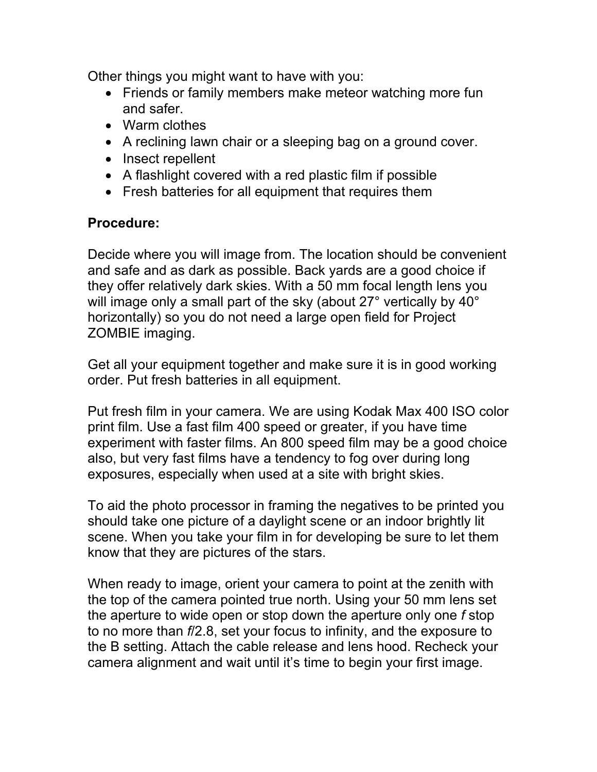Other things you might want to have with you:

- Friends or family members make meteor watching more fun and safer.
- Warm clothes
- A reclining lawn chair or a sleeping bag on a ground cover.
- Insect repellent
- A flashlight covered with a red plastic film if possible
- Fresh batteries for all equipment that requires them

### **Procedure:**

Decide where you will image from. The location should be convenient and safe and as dark as possible. Back yards are a good choice if they offer relatively dark skies. With a 50 mm focal length lens you will image only a small part of the sky (about 27° vertically by 40° horizontally) so you do not need a large open field for Project ZOMBIE imaging.

Get all your equipment together and make sure it is in good working order. Put fresh batteries in all equipment.

Put fresh film in your camera. We are using Kodak Max 400 ISO color print film. Use a fast film 400 speed or greater, if you have time experiment with faster films. An 800 speed film may be a good choice also, but very fast films have a tendency to fog over during long exposures, especially when used at a site with bright skies.

To aid the photo processor in framing the negatives to be printed you should take one picture of a daylight scene or an indoor brightly lit scene. When you take your film in for developing be sure to let them know that they are pictures of the stars.

When ready to image, orient your camera to point at the zenith with the top of the camera pointed true north. Using your 50 mm lens set the aperture to wide open or stop down the aperture only one *f* stop to no more than *f*/2.8, set your focus to infinity, and the exposure to the B setting. Attach the cable release and lens hood. Recheck your camera alignment and wait until it's time to begin your first image.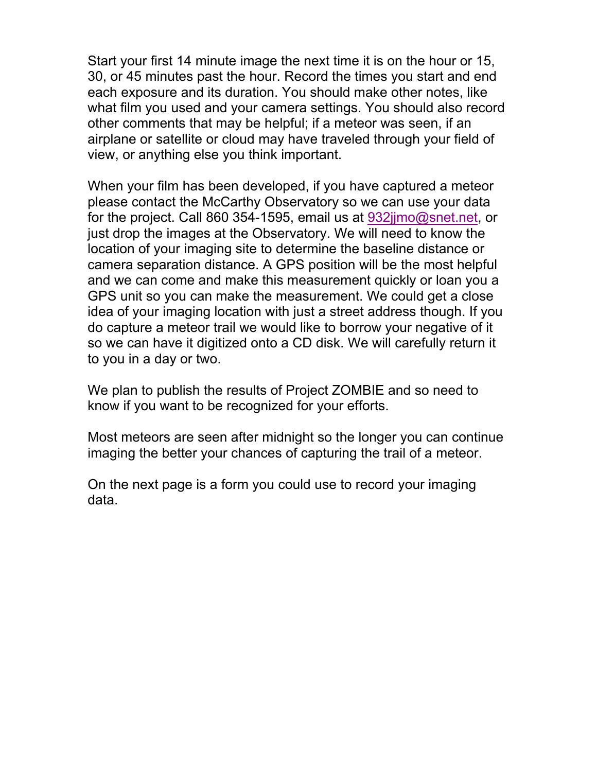Start your first 14 minute image the next time it is on the hour or 15, 30, or 45 minutes past the hour. Record the times you start and end each exposure and its duration. You should make other notes, like what film you used and your camera settings. You should also record other comments that may be helpful; if a meteor was seen, if an airplane or satellite or cloud may have traveled through your field of view, or anything else you think important.

When your film has been developed, if you have captured a meteor please contact the McCarthy Observatory so we can use your data for the project. Call 860 354-1595, email us at 932jjmo@snet.net, or just drop the images at the Observatory. We will need to know the location of your imaging site to determine the baseline distance or camera separation distance. A GPS position will be the most helpful and we can come and make this measurement quickly or loan you a GPS unit so you can make the measurement. We could get a close idea of your imaging location with just a street address though. If you do capture a meteor trail we would like to borrow your negative of it so we can have it digitized onto a CD disk. We will carefully return it to you in a day or two.

We plan to publish the results of Project ZOMBIE and so need to know if you want to be recognized for your efforts.

Most meteors are seen after midnight so the longer you can continue imaging the better your chances of capturing the trail of a meteor.

On the next page is a form you could use to record your imaging data.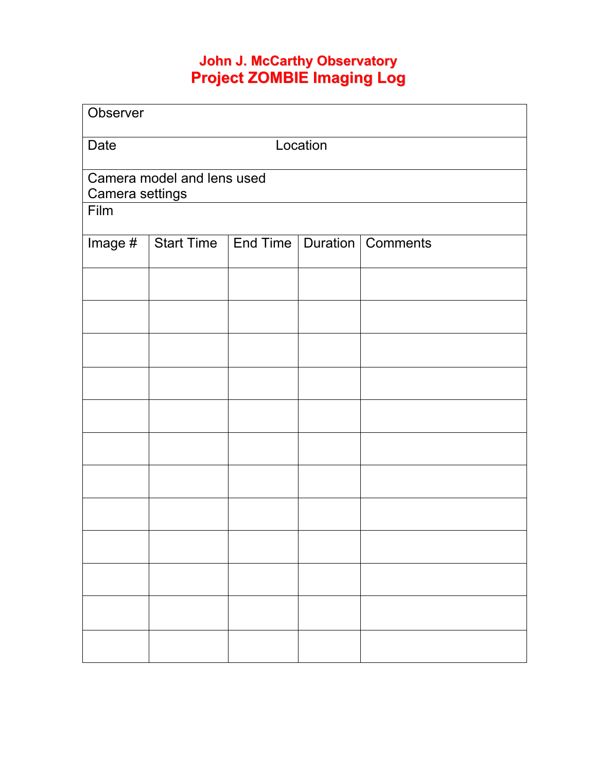## **John J. McCarthy Observatory Project ZOMBIE Imaging Log**

| Observer                   |                                             |  |  |  |  |
|----------------------------|---------------------------------------------|--|--|--|--|
| Date                       | Location                                    |  |  |  |  |
| Camera model and lens used |                                             |  |  |  |  |
| Camera settings<br>Film    |                                             |  |  |  |  |
| Image $#$                  | Start Time   End Time   Duration   Comments |  |  |  |  |
|                            |                                             |  |  |  |  |
|                            |                                             |  |  |  |  |
|                            |                                             |  |  |  |  |
|                            |                                             |  |  |  |  |
|                            |                                             |  |  |  |  |
|                            |                                             |  |  |  |  |
|                            |                                             |  |  |  |  |
|                            |                                             |  |  |  |  |
|                            |                                             |  |  |  |  |
|                            |                                             |  |  |  |  |
|                            |                                             |  |  |  |  |
|                            |                                             |  |  |  |  |
|                            |                                             |  |  |  |  |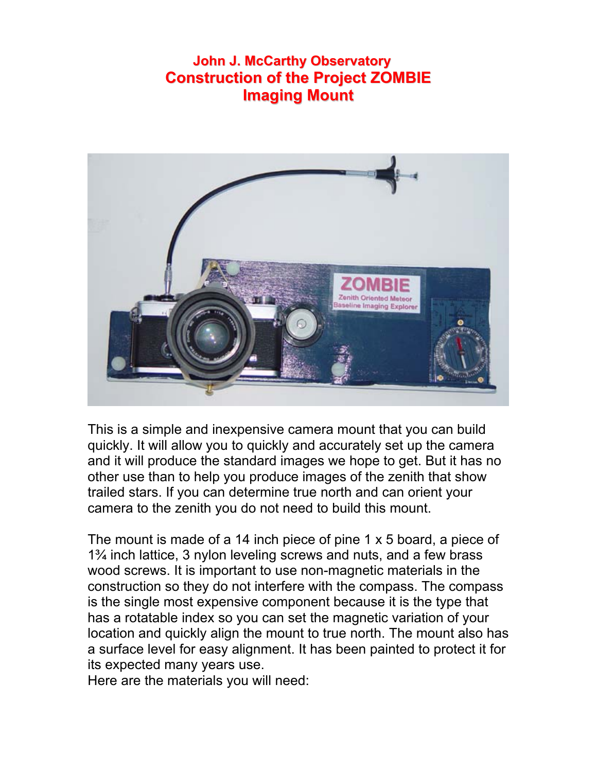# **John J. McCarthy Observatory Construction of the Project ZOMBIE Imaging Mount**



This is a simple and inexpensive camera mount that you can build quickly. It will allow you to quickly and accurately set up the camera and it will produce the standard images we hope to get. But it has no other use than to help you produce images of the zenith that show trailed stars. If you can determine true north and can orient your camera to the zenith you do not need to build this mount.

The mount is made of a 14 inch piece of pine  $1 \times 5$  board, a piece of 1¾ inch lattice, 3 nylon leveling screws and nuts, and a few brass wood screws. It is important to use non-magnetic materials in the construction so they do not interfere with the compass. The compass is the single most expensive component because it is the type that has a rotatable index so you can set the magnetic variation of your location and quickly align the mount to true north. The mount also has a surface level for easy alignment. It has been painted to protect it for its expected many years use.

Here are the materials you will need: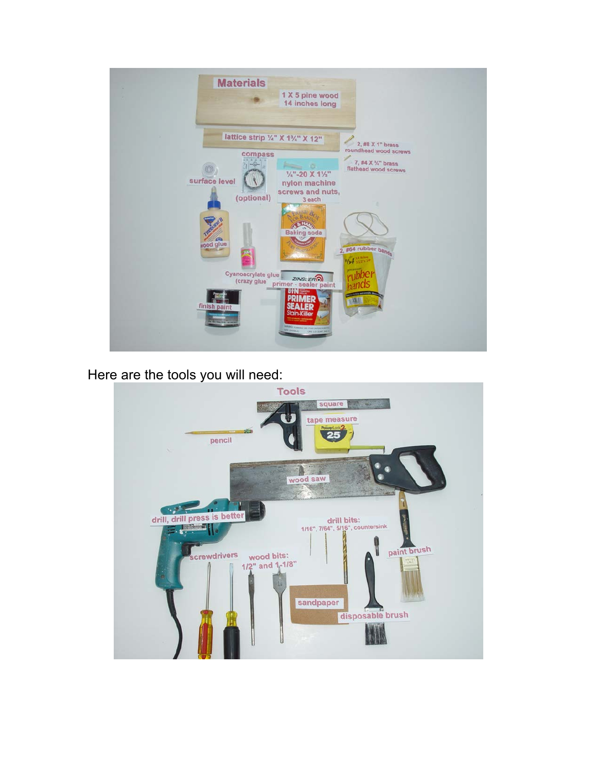

Here are the tools you will need: